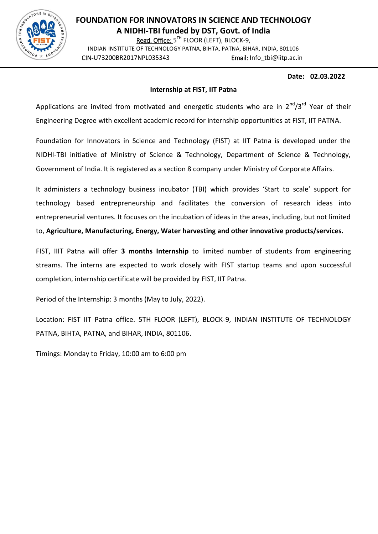

## **FOUNDATION FOR INNOVATORS IN SCIENCE AND TECHNOLOGY A NIDHI-TBI funded by DST, Govt. of India**

Regd. Office: 5<sup>TH</sup> FLOOR (LEFT), BLOCK-9, INDIAN INSTITUTE OF TECHNOLOGY PATNA, BIHTA, PATNA, BIHAR, INDIA, 801106

CIN-U73200BR2017NPL035343 Email: Info\_tbi@iitp.ac.in

## **Date: 02.03.2022**

## **Internship at FIST, IIT Patna**

Applications are invited from motivated and energetic students who are in  $2^{nd}/3^{rd}$  Year of their Engineering Degree with excellent academic record for internship opportunities at FIST, IIT PATNA.

Foundation for Innovators in Science and Technology (FIST) at IIT Patna is developed under the NIDHI-TBI initiative of Ministry of Science & Technology, Department of Science & Technology, Government of India. It is registered as a section 8 company under Ministry of Corporate Affairs.

It administers a technology business incubator (TBI) which provides 'Start to scale' support for technology based entrepreneurship and facilitates the conversion of research ideas into entrepreneurial ventures. It focuses on the incubation of ideas in the areas, including, but not limited to, **Agriculture, Manufacturing, Energy, Water harvesting and other innovative products/services.**

FIST, IIIT Patna will offer **3 months Internship** to limited number of students from engineering streams. The interns are expected to work closely with FIST startup teams and upon successful completion, internship certificate will be provided by FIST, IIT Patna.

Period of the Internship: 3 months (May to July, 2022).

Location: FIST IIT Patna office. 5TH FLOOR (LEFT), BLOCK-9, INDIAN INSTITUTE OF TECHNOLOGY PATNA, BIHTA, PATNA, and BIHAR, INDIA, 801106.

Timings: Monday to Friday, 10:00 am to 6:00 pm